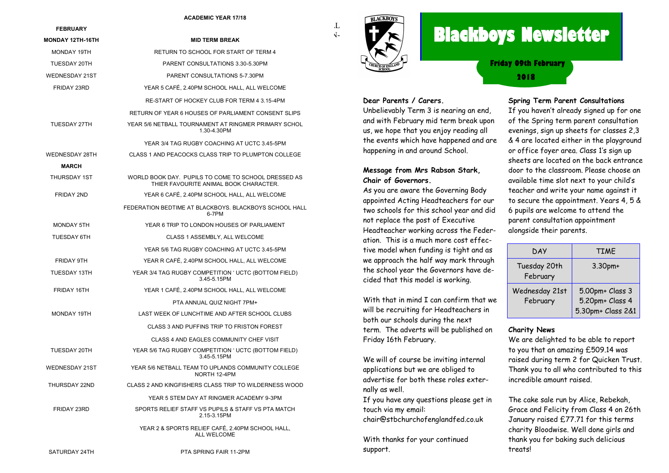#### **ACADEMIC YEAR 17/18**

| <b>FEBRUARY</b>         |                                                                                               | T  |
|-------------------------|-----------------------------------------------------------------------------------------------|----|
| <b>MONDAY 12TH-16TH</b> | <b>MID TERM BREAK</b>                                                                         | √- |
| MONDAY 19TH             | RETURN TO SCHOOL FOR START OF TERM 4                                                          |    |
| TUESDAY 20TH            | PARENT CONSULTATIONS 3.30-5.30PM                                                              |    |
| <b>WEDNESDAY 21ST</b>   | PARENT CONSULTATIONS 5-7.30PM                                                                 |    |
| FRIDAY 23RD             | YEAR 5 CAFÉ, 2.40PM SCHOOL HALL, ALL WELCOME                                                  |    |
|                         | RE-START OF HOCKEY CLUB FOR TERM 4 3.15-4PM                                                   |    |
|                         | RETURN OF YEAR 6 HOUSES OF PARLIAMENT CONSENT SLIPS                                           |    |
| TUESDAY 27TH            | YEAR 5/6 NETBALL TOURNAMENT AT RINGMER PRIMARY SCHOL<br>1.30-4.30PM                           |    |
|                         | YEAR 3/4 TAG RUGBY COACHING AT UCTC 3.45-5PM                                                  |    |
| WEDNESDAY 28TH<br>MARCH | CLASS 1 AND PEACOCKS CLASS TRIP TO PLUMPTON COLLEGE                                           |    |
| THURSDAY 1ST            | WORLD BOOK DAY. PUPILS TO COME TO SCHOOL DRESSED AS<br>THIER FAVOURITE ANIMAL BOOK CHARACTER. |    |
| FRIDAY 2ND              | YEAR 6 CAFÉ, 2.40PM SCHOOL HALL, ALL WELCOME                                                  |    |
|                         | FEDERATION BEDTIME AT BLACKBOYS. BLACKBOYS SCHOOL HALL<br>6-7PM                               |    |
| <b>MONDAY 5TH</b>       | YEAR 6 TRIP TO LONDON HOUSES OF PARLIAMENT                                                    |    |
| <b>TUESDAY 6TH</b>      | CLASS 1 ASSEMBLY, ALL WELCOME                                                                 |    |
|                         | YEAR 5/6 TAG RUGBY COACHING AT UCTC 3.45-5PM                                                  |    |
| FRIDAY 9TH              | YEAR R CAFÉ, 2.40PM SCHOOL HALL, ALL WELCOME                                                  |    |
| TUESDAY 13TH            | YEAR 3/4 TAG RUGBY COMPETITION ' UCTC (BOTTOM FIELD)<br>3.45-5.15PM                           |    |
| FRIDAY 16TH             | YEAR 1 CAFÉ, 2.40PM SCHOOL HALL, ALL WELCOME                                                  |    |
|                         | PTA ANNUAL QUIZ NIGHT 7PM+                                                                    |    |
| MONDAY 19TH             | LAST WEEK OF LUNCHTIME AND AFTER SCHOOL CLUBS                                                 |    |
|                         | CLASS 3 AND PUFFINS TRIP TO FRISTON FOREST                                                    |    |
|                         | CLASS 4 AND EAGLES COMMUNITY CHEF VISIT                                                       |    |
| TUESDAY 20TH            | YEAR 5/6 TAG RUGBY COMPETITION ' UCTC (BOTTOM FIELD)<br>3.45-5.15PM                           |    |
| <b>WEDNESDAY 21ST</b>   | YEAR 5/6 NETBALL TEAM TO UPLANDS COMMUNITY COLLEGE<br>NORTH 12-4PM                            |    |
| THURSDAY 22ND           | CLASS 2 AND KINGFISHERS CLASS TRIP TO WILDERNESS WOOD                                         |    |
|                         | YEAR 5 STEM DAY AT RINGMER ACADEMY 9-3PM                                                      |    |
| FRIDAY 23RD             | SPORTS RELIEF STAFF VS PUPILS & STAFF VS PTA MATCH<br>2.15-3.15PM                             |    |
|                         | YEAR 2 & SPORTS RELIEF CAFÉ, 2.40PM SCHOOL HALL.<br>ALL WELCOME                               |    |
|                         |                                                                                               |    |



# **Blackboys Newsletter**

**2018 Friday 09th February**

#### **Dear Parents / Carers.**

Unbelievably Term 3 is nearing an end, and with February mid term break upon us, we hope that you enjoy reading all the events which have happened and are happening in and around School.

#### **Message from Mrs Rabson Stark, Chair of Governors.**

As you are aware the Governing Body appointed Acting Headteachers for our two schools for this school year and did not replace the post of Executive Headteacher working across the Federation. This is a much more cost effective model when funding is tight and as we approach the half way mark through the school year the Governors have decided that this model is working.

With that in mind I can confirm that we will be recruiting for Headteachers in both our schools during the next term. The adverts will be published on Friday 16th February.

We will of course be inviting internal applications but we are obliged to advertise for both these roles externally as well.

If you have any questions please get in touch via my email: chair@stbchurchofenglandfed.co.uk

With thanks for your continued support.

#### **Spring Term Parent Consultations**

If you haven't already signed up for one of the Spring term parent consultation evenings, sign up sheets for classes 2,3 & 4 are located either in the playground or office foyer area. Class 1's sign up sheets are located on the back entrance door to the classroom. Please choose an available time slot next to your child's teacher and write your name against it to secure the appointment. Years 4, 5 & 6 pupils are welcome to attend the parent consultation appointment alongside their parents.

| DAY                        | <b>TIME</b>                                             |
|----------------------------|---------------------------------------------------------|
| Tuesday 20th<br>February   | $3.30$ pm+                                              |
| Wednesday 21st<br>February | 5.00pm+ Class 3<br>5.20pm+ Class 4<br>5.30pm+ Class 2&1 |

#### **Charity News**

We are delighted to be able to report to you that an amazing £509.14 was raised during term 2 for Quicken Trust. Thank you to all who contributed to this incredible amount raised.

The cake sale run by Alice, Rebekah, Grace and Felicity from Class 4 on 26th January raised £77.71 for this terms charity Bloodwise. Well done girls and thank you for baking such delicious treats!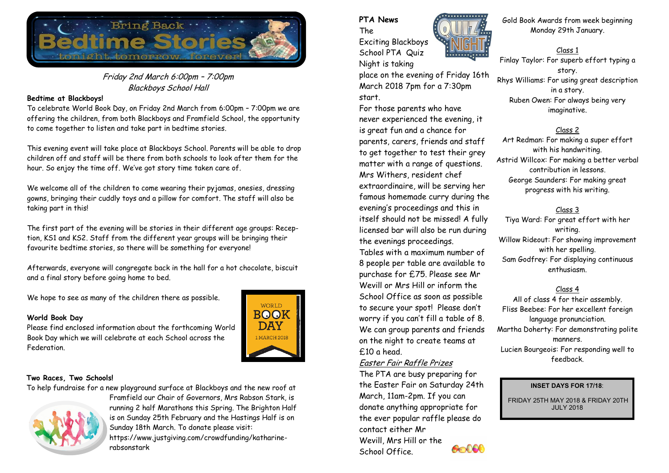

# Friday 2nd March 6:00pm – 7:00pm Blackboys School Hall

### **Bedtime at Blackboys!**

To celebrate World Book Day, on Friday 2nd March from 6:00pm – 7:00pm we are offering the children, from both Blackboys and Framfield School, the opportunity to come together to listen and take part in bedtime stories.

This evening event will take place at Blackboys School. Parents will be able to drop children off and staff will be there from both schools to look after them for the hour. So enjoy the time off. We've got story time taken care of.

We welcome all of the children to come wearing their pyjamas, onesies, dressing gowns, bringing their cuddly toys and a pillow for comfort. The staff will also be taking part in this!

The first part of the evening will be stories in their different age groups: Reception, KS1 and KS2. Staff from the different year groups will be bringing their favourite bedtime stories, so there will be something for everyone!

Afterwards, everyone will congregate back in the hall for a hot chocolate, biscuit and a final story before going home to bed.

We hope to see as many of the children there as possible.

#### **World Book Day**

Please find enclosed information about the forthcoming World Book Day which we will celebrate at each School across the Federation.



### **Two Races, Two Schools!**

To help fundraise for a new playground surface at Blackboys and the new roof at



Framfield our Chair of Governors, Mrs Rabson Stark, is running 2 half Marathons this Spring. The Brighton Half is on Sunday 25th February and the Hastings Half is on Sunday 18th March. To donate please visit: https://www.justgiving.com/crowdfunding/katharinerabsonstark

# **PTA News**

The Exciting Blackboys School PTA Quiz Night is taking

place on the evening of Friday 16th March 2018 7pm for a 7:30pm start.

For those parents who have never experienced the evening, it is great fun and a chance for parents, carers, friends and staff to get together to test their grey matter with a range of questions. Mrs Withers, resident chef extraordinaire, will be serving her famous homemade curry during the evening's proceedings and this in itself should not be missed! A fully licensed bar will also be run during the evenings proceedings. Tables with a maximum number of 8 people per table are available to purchase for £75. Please see Mr Wevill or Mrs Hill or inform the School Office as soon as possible to secure your spot! Please don't worry if you can't fill a table of 8. We can group parents and friends on the night to create teams at £10 a head.

# Easter Fair Raffle Prizes

The PTA are busy preparing for the Easter Fair on Saturday 24th March, 11am-2pm. If you can donate anything appropriate for the ever popular raffle please do contact either Mr Wevill, Mrs Hill or the **Sold** School Office.



Gold Book Awards from week beginning Monday 29th January.

Class 1 Finlay Taylor: For superb effort typing a story. Rhys Williams: For using great description in a story. Ruben Owen: For always being very imaginative.

## Class 2

Art Redman: For making a super effort with his handwriting. Astrid Willcox: For making a better verbal contribution in lessons. George Saunders: For making great progress with his writing.

# Class 3

Tiya Ward: For great effort with her writing. Willow Rideout: For showing improvement with her spelling. Sam Godfrey: For displaying continuous enthusiasm.

# Class 4

All of class 4 for their assembly. Fliss Beebee: For her excellent foreign language pronunciation. Martha Doherty: For demonstrating polite manners. Lucien Bourgeois: For responding well to feedback.

#### **INSET DAYS FOR 17/18**:

FRIDAY 25TH MAY 2018 & FRIDAY 20TH JULY 2018